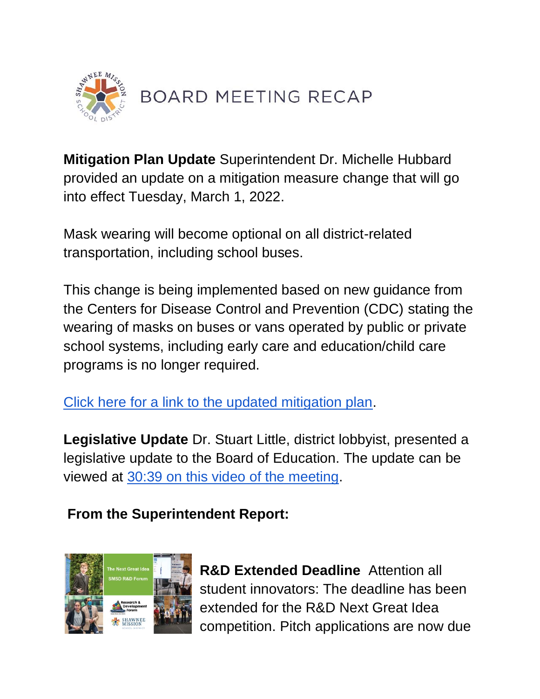

**Mitigation Plan Update** Superintendent Dr. Michelle Hubbard provided an update on a mitigation measure change that will go into effect Tuesday, March 1, 2022.

Mask wearing will become optional on all district-related transportation, including school buses.

This change is being implemented based on new guidance from the Centers for Disease Control and Prevention (CDC) stating the wearing of masks on buses or vans operated by public or private school systems, including early care and education/child care programs is no longer required.

[Click here for a link to the updated mitigation plan.](https://smsdorg.finalsite.com/fs/resource-manager/view/cc4a8ee0-4322-4933-83b3-d201b36bdc4b)

**Legislative Update** Dr. Stuart Little, district lobbyist, presented a legislative update to the Board of Education. The update can be viewed at [30:39 on this video of the meeting.](https://youtu.be/9CsWZhkb6ms)

## **From the Superintendent Report:**



**R&D Extended Deadline** Attention all student innovators: The deadline has been extended for the R&D Next Great Idea competition. Pitch applications are now due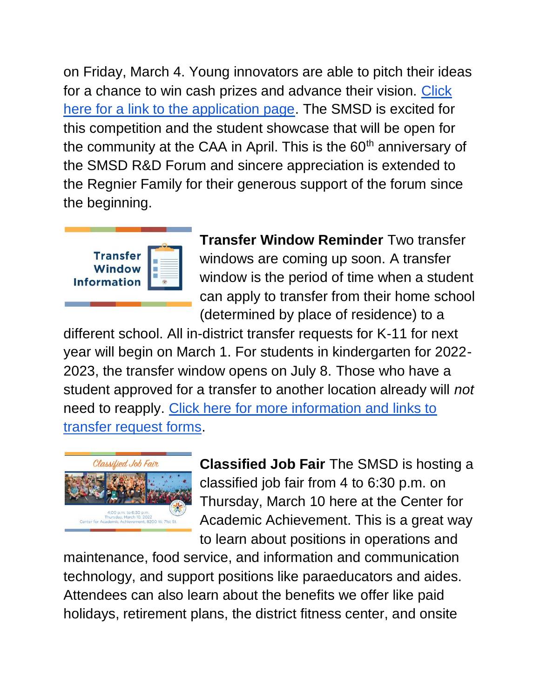on Friday, March 4. Young innovators are able to pitch their ideas for a chance to win cash prizes and advance their vision. [Click](https://www.smsd.org/academics/rd-forum/pitch-informaition)  [here for a link to the application page.](https://www.smsd.org/academics/rd-forum/pitch-informaition) The SMSD is excited for this competition and the student showcase that will be open for the community at the CAA in April. This is the 60<sup>th</sup> anniversary of the SMSD R&D Forum and sincere appreciation is extended to the Regnier Family for their generous support of the forum since the beginning.



**Transfer Window Reminder** Two transfer windows are coming up soon. A transfer window is the period of time when a student can apply to transfer from their home school (determined by place of residence) to a

different school. All in-district transfer requests for K-11 for next year will begin on March 1. For students in kindergarten for 2022- 2023, the transfer window opens on July 8. Those who have a student approved for a transfer to another location already will *not* need to reapply. [Click here for more information and links to](https://www.smsd.org/about/news-archives/news-archive-details/~board/2021-2022-district-news/post/smsd-transfer-information-for-2022-2023)  [transfer request forms.](https://www.smsd.org/about/news-archives/news-archive-details/~board/2021-2022-district-news/post/smsd-transfer-information-for-2022-2023)



**Classified Job Fair** The SMSD is hosting a classified job fair from 4 to 6:30 p.m. on Thursday, March 10 here at the Center for Academic Achievement. This is a great way to learn about positions in operations and

maintenance, food service, and information and communication technology, and support positions like paraeducators and aides. Attendees can also learn about the benefits we offer like paid holidays, retirement plans, the district fitness center, and onsite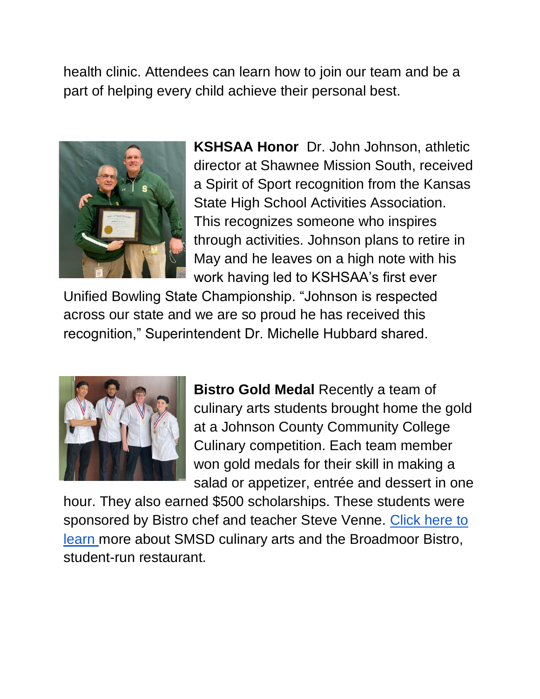health clinic. Attendees can learn how to join our team and be a part of helping every child achieve their personal best.



**KSHSAA Honor** Dr. John Johnson, athletic director at Shawnee Mission South, received a Spirit of Sport recognition from the Kansas State High School Activities Association. This recognizes someone who inspires through activities. Johnson plans to retire in May and he leaves on a high note with his work having led to KSHSAA's first ever

Unified Bowling State Championship. "Johnson is respected across our state and we are so proud he has received this recognition," Superintendent Dr. Michelle Hubbard shared.



**Bistro Gold Medal** Recently a team of culinary arts students brought home the gold at a Johnson County Community College Culinary competition. Each team member won gold medals for their skill in making a salad or appetizer, entrée and dessert in one

hour. They also earned \$500 scholarships. These students were sponsored by Bistro chef and teacher Steve Venne. [Click here to](https://caa.smsd.org/academics/signature-programs/culinary-hospitality/bistro)  [learn m](https://caa.smsd.org/academics/signature-programs/culinary-hospitality/bistro)ore about SMSD culinary arts and the Broadmoor Bistro, student-run restaurant.